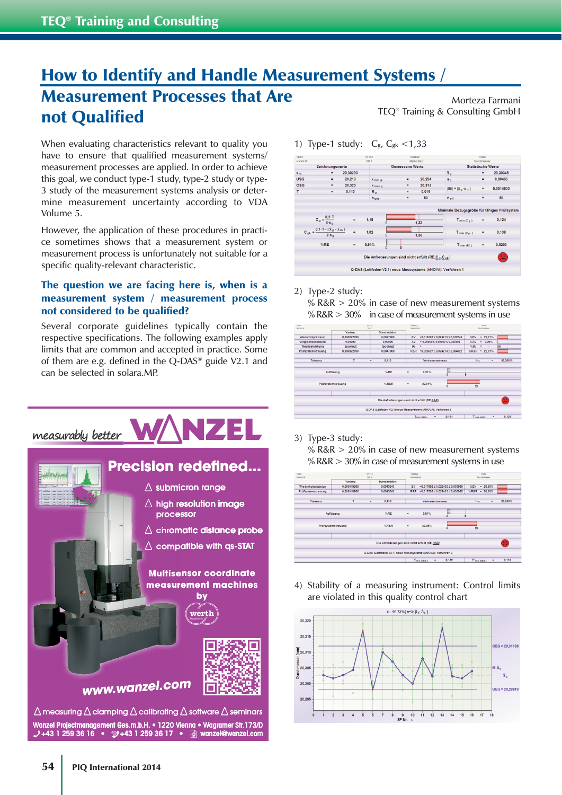## How to Identify and Handle Measurement Systems / Measurement Processes that Are not Qualified

When evaluating characteristics relevant to quality you have to ensure that qualified measurement systems/ measurement processes are applied. In order to achieve this goal, we conduct type-1 study, type-2 study or type-3 study of the measurement systems analysis or determine measurement uncertainty according to VDA Volume 5.

However, the application of these procedures in practice sometimes shows that a measurement system or measurement process is unfortunately not suitable for a specific quality-relevant characteristic.

## The question we are facing here is, when is a measurement system / measurement process not considered to be qualified?

Several corporate guidelines typically contain the respective specifications. The following examples apply limits that are common and accepted in practice. Some of them are e.g. defined in the Q-DAS® guide V2.1 and can be selected in solara.MP.



**Wanzel Projectmanagement Ges.m.b.H. • 1220 Vienna • Wagramer Str.173/D anzel Str** measuring  $\triangle$  clamping  $\triangle$  calibrating  $\triangle$  software  $\triangle$  seminars

Morteza Farmani TEQ® Training & Consulting GmbH

1) Type-1 study:  $C_{\rm g}$ ,  $C_{\rm g}$ k <1,33



## 2) Type-2 study:

%  $R&R > 20\%$  in case of new measurement systems %  $R&R>30\%$  in case of measurement systems in use



3) Type-3 study:

%  $R&R>20\%$  in case of new measurement systems %  $R&R>30\%$  in case of measurement systems in use



4) Stability of a measuring instrument: Control limits are violated in this quality control chart